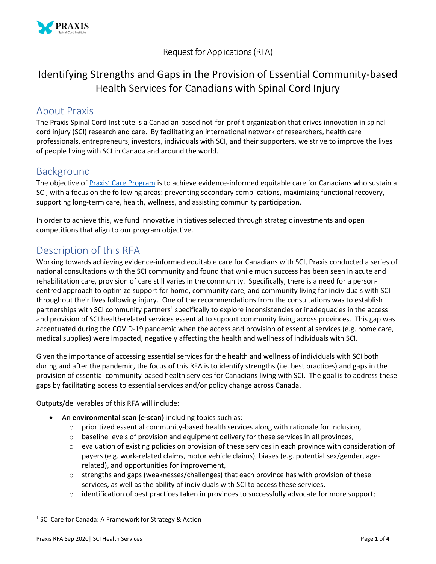

Request for Applications (RFA)

# Identifying Strengths and Gaps in the Provision of Essential Community-based Health Services for Canadians with Spinal Cord Injury

### About Praxis

The Praxis Spinal Cord Institute is a Canadian-based not-for-profit organization that drives innovation in spinal cord injury (SCI) research and care. By facilitating an international network of researchers, health care professionals, entrepreneurs, investors, individuals with SCI, and their supporters, we strive to improve the lives of people living with SCI in Canada and around the world.

## Background

The objective of [Praxis' Care Program](https://praxisinstitute.org/what-we-fund/grants/) is to achieve evidence-informed equitable care for Canadians who sustain a SCI, with a focus on the following areas: preventing secondary complications, maximizing functional recovery, supporting long-term care, health, wellness, and assisting community participation.

In order to achieve this, we fund innovative initiatives selected through strategic investments and open competitions that align to our program objective.

## Description of this RFA

Working towards achieving evidence-informed equitable care for Canadians with SCI, Praxis conducted a series of national consultations with the SCI community and found that while much success has been seen in acute and rehabilitation care, provision of care still varies in the community. Specifically, there is a need for a personcentred approach to optimize support for home, community care, and community living for individuals with SCI throughout their lives following injury. One of the recommendations from the consultations was to establish partnerships with SCI community partners<sup>1</sup> specifically to explore inconsistencies or inadequacies in the access and provision of SCI health-related services essential to support community living across provinces. This gap was accentuated during the COVID-19 pandemic when the access and provision of essential services (e.g. home care, medical supplies) were impacted, negatively affecting the health and wellness of individuals with SCI.

Given the importance of accessing essential services for the health and wellness of individuals with SCI both during and after the pandemic, the focus of this RFA is to identify strengths (i.e. best practices) and gaps in the provision of essential community-based health services for Canadians living with SCI. The goal is to address these gaps by facilitating access to essential services and/or policy change across Canada.

Outputs/deliverables of this RFA will include:

- An **environmental scan (e-scan)** including topics such as:
	- o prioritized essential community-based health services along with rationale for inclusion,
	- o baseline levels of provision and equipment delivery for these services in all provinces,
	- o evaluation of existing policies on provision of these services in each province with consideration of payers (e.g. work-related claims, motor vehicle claims), biases (e.g. potential sex/gender, agerelated), and opportunities for improvement,
	- $\circ$  strengths and gaps (weaknesses/challenges) that each province has with provision of these services, as well as the ability of individuals with SCI to access these services,
	- o identification of best practices taken in provinces to successfully advocate for more support;

 $\overline{\phantom{a}}$ 

<sup>&</sup>lt;sup>1</sup> SCI Care for Canada: A Framework for Strategy & Action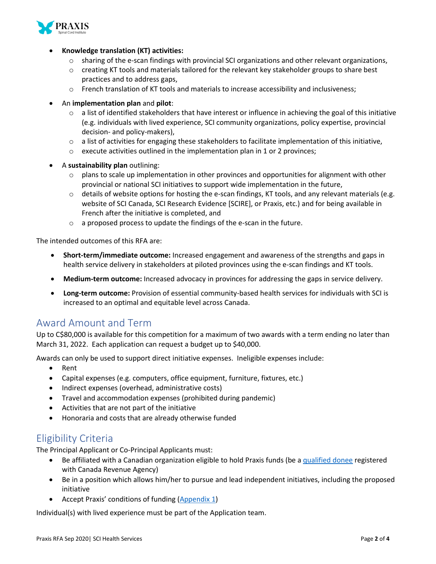

- **Knowledge translation (KT) activities:**
	- o sharing of the e-scan findings with provincial SCI organizations and other relevant organizations,
	- o creating KT tools and materials tailored for the relevant key stakeholder groups to share best practices and to address gaps,
	- o French translation of KT tools and materials to increase accessibility and inclusiveness;
- An **implementation plan** and **pilot**:
	- $\circ$  a list of identified stakeholders that have interest or influence in achieving the goal of this initiative (e.g. individuals with lived experience, SCI community organizations, policy expertise, provincial decision- and policy-makers),
	- $\circ$  a list of activities for engaging these stakeholders to facilitate implementation of this initiative,
	- $\circ$  execute activities outlined in the implementation plan in 1 or 2 provinces;
- A **sustainability plan** outlining:
	- $\circ$  plans to scale up implementation in other provinces and opportunities for alignment with other provincial or national SCI initiatives to support wide implementation in the future,
	- $\circ$  details of website options for hosting the e-scan findings, KT tools, and any relevant materials (e.g. website of SCI Canada, SCI Research Evidence [SCIRE], or Praxis, etc.) and for being available in French after the initiative is completed, and
	- o a proposed process to update the findings of the e-scan in the future.

The intended outcomes of this RFA are:

- **Short-term/immediate outcome:** Increased engagement and awareness of the strengths and gaps in health service delivery in stakeholders at piloted provinces using the e-scan findings and KT tools.
- **Medium-term outcome:** Increased advocacy in provinces for addressing the gaps in service delivery.
- **Long-term outcome:** Provision of essential community-based health services for individuals with SCI is increased to an optimal and equitable level across Canada.

## Award Amount and Term

Up to C\$80,000 is available for this competition for a maximum of two awards with a term ending no later than March 31, 2022. Each application can request a budget up to \$40,000.

Awards can only be used to support direct initiative expenses. Ineligible expenses include:

- Rent
- Capital expenses (e.g. computers, office equipment, furniture, fixtures, etc.)
- Indirect expenses (overhead, administrative costs)
- Travel and accommodation expenses (prohibited during pandemic)
- Activities that are not part of the initiative
- Honoraria and costs that are already otherwise funded

## Eligibility Criteria

The Principal Applicant or Co-Principal Applicants must:

- Be affiliated with a Canadian organization eligible to hold Praxis funds (be [a qualified donee](https://www.canada.ca/en/revenue-agency/services/charities-giving/charities/policies-guidance/qualified-donees.html) registered with Canada Revenue Agency)
- Be in a position which allows him/her to pursue and lead independent initiatives, including the proposed initiative
- Accept Praxis' conditions of funding [\(Appendix 1\)](https://praxisinstitute.org/wp-content/uploads/2020/09/Appendix-1_ConditionsOfFunding.pdf)

Individual(s) with lived experience must be part of the Application team.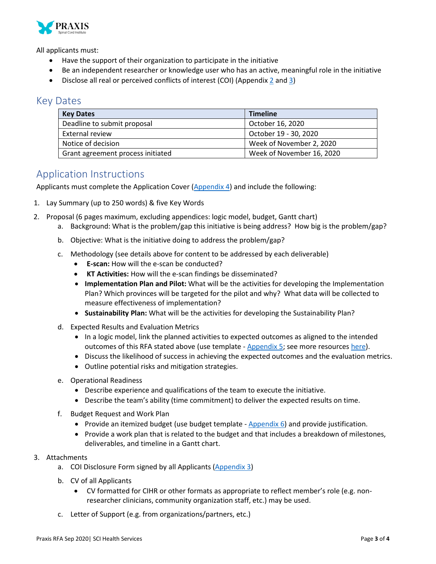

All applicants must:

- Have the support of their organization to participate in the initiative
- Be an independent researcher or knowledge user who has an active, meaningful role in the initiative
- Disclose all real or perceived conflicts of interest (COI) (Appendi[x 2](https://praxisinstitute.org/wp-content/uploads/2020/09/Appendix-2_Praxis-COI-Policy.pdf) and [3\)](https://praxisinstitute.org/wp-content/uploads/2020/09/Appendix-3_Praxis-COI-for-Grant-Requestors.docx)

### Key Dates

| <b>Key Dates</b>                  | <b>Timeline</b>           |
|-----------------------------------|---------------------------|
| Deadline to submit proposal       | October 16, 2020          |
| External review                   | October 19 - 30, 2020     |
| Notice of decision                | Week of November 2, 2020  |
| Grant agreement process initiated | Week of November 16, 2020 |

### Application Instructions

Applicants must complete the Application Cover  $(Appendix 4)$  and include the following:

- 1. Lay Summary (up to 250 words) & five Key Words
- 2. Proposal (6 pages maximum, excluding appendices: logic model, budget, Gantt chart)
	- a. Background: What is the problem/gap this initiative is being address? How big is the problem/gap?
	- b. Objective: What is the initiative doing to address the problem/gap?
	- c. Methodology (see details above for content to be addressed by each deliverable)
		- **E-scan:** How will the e-scan be conducted?
		- **KT Activities:** How will the e-scan findings be disseminated?
		- **Implementation Plan and Pilot:** What will be the activities for developing the Implementation Plan? Which provinces will be targeted for the pilot and why? What data will be collected to measure effectiveness of implementation?
		- **Sustainability Plan:** What will be the activities for developing the Sustainability Plan?
	- d. Expected Results and Evaluation Metrics
		- In a logic model, link the planned activities to expected outcomes as aligned to the intended outcomes of this RFA stated above (use template - [Appendix 5;](https://praxisinstitute.org/wp-content/uploads/2020/09/Appendix-5_Logic-Model-Template.docx) see more resources [here\)](https://fyi.extension.wisc.edu/programdevelopment/designing-programs/).
		- Discuss the likelihood of success in achieving the expected outcomes and the evaluation metrics.
		- Outline potential risks and mitigation strategies.
	- e. Operational Readiness
		- Describe experience and qualifications of the team to execute the initiative.
		- Describe the team's ability (time commitment) to deliver the expected results on time.
	- f. Budget Request and Work Plan
		- Provide an itemized budget (use budget template Appendix  $6$ ) and provide justification.
		- Provide a work plan that is related to the budget and that includes a breakdown of milestones, deliverables, and timeline in a Gantt chart.

#### 3. Attachments

- a. COI Disclosure Form signed by all Applicants [\(Appendix 3\)](https://praxisinstitute.org/wp-content/uploads/2020/09/Appendix-3_Praxis-COI-for-Grant-Requestors.docx)
- b. CV of all Applicants
	- CV formatted for CIHR or other formats as appropriate to reflect member's role (e.g. nonresearcher clinicians, community organization staff, etc.) may be used.
- c. Letter of Support (e.g. from organizations/partners, etc.)